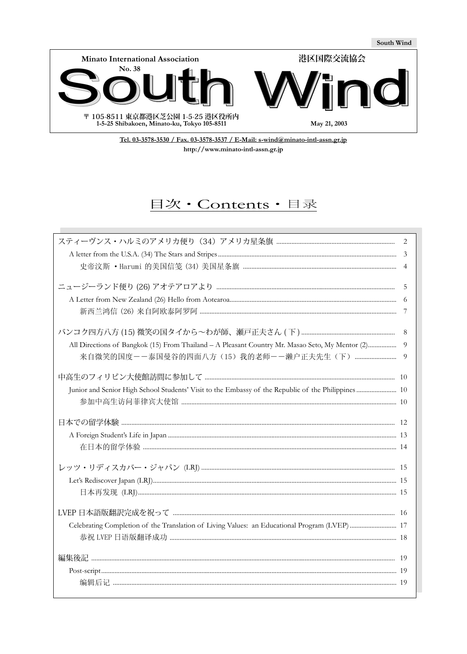

Tel. 03-3578-3530 / Fax. 03-3578-3537 / E-Mail: s-wind@minato-intl-assn.gr.jp http://www.minato-intl-assn.gr.jp

# 目次·Contents·目录

|                                                                                                                                          | 2                   |
|------------------------------------------------------------------------------------------------------------------------------------------|---------------------|
|                                                                                                                                          | 3<br>$\overline{4}$ |
|                                                                                                                                          | 5<br>- 7            |
| All Directions of Bangkok (15) From Thailand - A Pleasant Country Mr. Masao Seto, My Mentor (2)<br>来自微笑的国度--泰国曼谷的四面八方(15)我的老师--濑户正夫先生(下) | 8<br>9<br>9         |
|                                                                                                                                          |                     |
|                                                                                                                                          |                     |
|                                                                                                                                          |                     |
|                                                                                                                                          |                     |
|                                                                                                                                          |                     |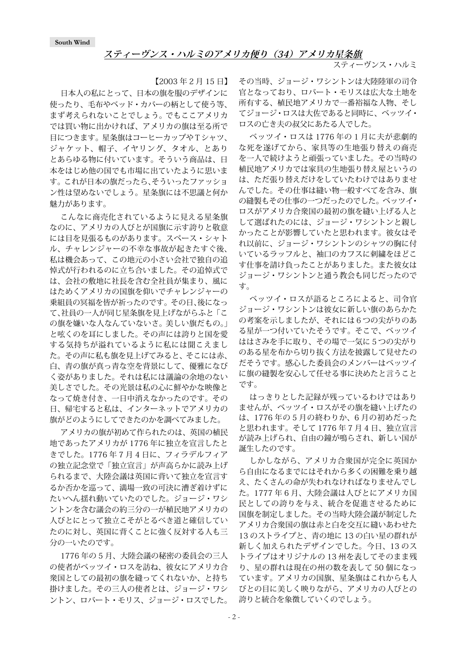### **スティーヴンス・ハルミのアメリカ便り(34)アメリカ星条旗**

スティーヴンス・ハルミ

【2003 年 2 月 15 日】

<span id="page-1-0"></span>日本人の私にとって、日本の旗を服のデザインに 使ったり、毛布やベッド・カバーの柄として使う等、 まず考えられないことでしょう。 でもここアメリカ では買い物に出かければ、アメリカの旗は至る所で 目につきます。星条旗はコーヒーカップやTシャツ、 ジャケット、帽子、イヤリング、タオル、とあり とあらゆる物に付いています。そういう商品は、日 本をはじめ他の国でも市場に出ていたように思いま す。これが日本の旗だったら、そういったファッショ ン性は望めないでしょう。星条旗には不思議と何か 魅力があります。

こんなに商売化されているように見える星条旗 なのに、アメリカの人びとが国旗に示す誇りと敬意 には目を見張るものがあります。スペース・シャト ル、チャレンジャーの不幸な事故が起きたすぐ後、 私は機会あって、この地元の小さい会社で独自の追 悼式が行われるのに立ち合いました。その追悼式で は、会社の敷地に社長を含む全社員が集まり、風に はためくアメリカの国旗を仰いでチャレンジャーの 乗組員の冥福を皆が祈ったのです。その日、後になっ て、社員の一人が同じ星条旗を見上げながらふと「こ の旗を嫌いな人なんていないさ。美しい旗だもの。 と呟くのを耳にしました。その声には誇りと国を愛 する気持ちが溢れているように私には聞こえまし た。その声に私も旗を見上げてみると、そこには赤、 白、青の旗が真っ青な空を背景にして、優雅になび く姿がありました。それは私には議論の余地のない 美しさでした。その光景は私の心に鮮やかな映像と なって焼き付き、一日中消えなかったのです。その 日、帰宅すると私は、インターネットでアメリカの 旗がどのようにしてできたのかを調べてみました。

アメリカの旗が初めて作られたのは、英国の植民 地であったアメリカが 1776 年に独立を宣言したと きでした。1776 年 7 月 4 日に、フィラデルフィア の独立記念堂で「独立宣言」が声高らかに読み上げ られるまで、大陸会議は英国に背いて独立を宣言す るか否かを巡って、満場一致の可決に漕ぎ着けずに たいへん揺れ動いていたのでした。ジョージ・ワシ ントンを含む議会の約三分の一が植民地アメリカの 人びとにとって独立こそがとるべき道と確信してい たのに対し、英国に背くことに強く反対する人も三 分の一いたのです。

1776 年の 5 月、大陸会議の秘密の委員会の三人 の使者がベッツイ・ロスを訪ね、彼女にアメリカ合 衆国としての最初の旗を縫ってくれないか、と持ち 掛けました。その三人の使者とは、ジョージ・ワシ ントン、ロバート・モリス、ジョージ・ロスでした。

その当時、ジョージ・ワシントンは大陸陸軍の司令 官となっており、ロバート・モリスは広大な土地を 所有する、植民地アメリカで一番裕福な人物、そし てジョージ・ロスは大佐であると同時に、ベッツイ・ ロスの亡き夫の叔父にあたる人でした。

ベッツイ・ロスは 1776 年の 1 月に夫が悲劇的 な死を遂げてから、家具等の生地張り替えの商売 を一人で続けようと頑張っていました。その当時の 植民地アメリカでは家具の生地張り替え屋というの は、ただ張り替えだけをしていたわけではありませ んでした。その仕事は縫い物一般すべてを含み、旗 の縫製もその仕事の一つだったのでした。ベッツイ・ ロスがアメリカ合衆国の最初の旗を縫い上げる人と して選ばれたのには、ジョージ・ワシントンと親し かったことが影響していたと思われます。彼女はそ れ以前に、ジョージ・ワシントンのシャツの胸に付 いているラッフルと、袖口のカフスに刺繍をほどこ す仕事を請け負ったことがありました。また彼女は ジョージ・ワシントンと通う教会も同じだったので す。

ベッツイ・ロスが語るところによると、司令官 ジョージ・ワシントンは彼女に新しい旗のあらかた の考案を示しましたが、それには6つの尖がりのあ る星が一つ付いていたそうです。そこで、ベッツイ ははさみを手に取り、その場で一気に5つの尖がり のある星を布から切り抜く方法を披露して見せたの だそうです。感心した委員会のメンバーはベッツイ に旗の縫製を安心して任せる事に決めたと言うこと です。

はっきりとした記録が残っているわけではあり ませんが、ベッツイ・ロスがその旗を縫い上げたの は、1776 年の 5 月の終わりか、6 月の初めだった と思われます。そして 1776 年 7 月 4 日、独立宣言 が読み上げられ、自由の鐘が鳴らされ、新しい国が 誕生したのです。

しかしながら、アメリカ合衆国が完全に英国か ら自由になるまでにはそれから多くの困難を乗り越 え、たくさんの命が失われなければなりませんでし た。1777 年 6 月、大陸会議は人びとにアメリカ国 民としての誇りを与え、統合を促進させるために 国旗を制定しました。その当時大陸会議が制定した アメリカ合衆国の旗は赤と白を交互に縫いあわせた 13 のストライプと、青の地に 13 の白い星の群れが 新しく加えられたデザインでした。今日、13 のス トライプはオリジナルの 13 州を表してそのまま残 り、星の群れは現在の州の数を表して 50 個になっ ています。アメリカの国旗、星条旗はこれからも人 びとの目に美しく映りながら、アメリカの人びとの 誇りと統合を象徴していくのでしょう。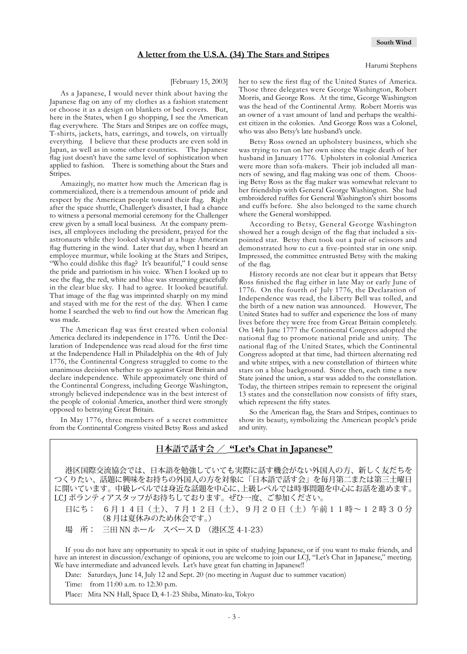#### **A letter from the U.S.A. (34) The Stars and Stripes**

#### [February 15, 2003]

<span id="page-2-0"></span>As a Japanese, I would never think about having the Japanese flag on any of my clothes as a fashion statement or choose it as a design on blankets or bed covers. But, here in the States, when I go shopping, I see the American flag everywhere. The Stars and Stripes are on coffee mugs, T-shirts, jackets, hats, earrings, and towels, on virtually everything. I believe that these products are even sold in Japan, as well as in some other countries. The Japanese flag just doesn't have the same level of sophistication when applied to fashion. There is something about the Stars and Stripes.

Amazingly, no matter how much the American flag is commercialized, there is a tremendous amount of pride and respect by the American people toward their flag. Right after the space shuttle, Challenger's disaster, I had a chance to witness a personal memorial ceremony for the Challenger crew given by a small local business. At the company premises, all employees including the president, prayed for the astronauts while they looked skyward at a huge American flag fluttering in the wind. Later that day, when I heard an employee murmur, while looking at the Stars and Stripes, "Who could dislike this flag? It's beautiful," I could sense the pride and patriotism in his voice. When I looked up to see the flag, the red, white and blue was streaming gracefully in the clear blue sky. I had to agree. It looked beautiful. That image of the flag was imprinted sharply on my mind and stayed with me for the rest of the day. When I came home I searched the web to find out how the American flag was made.

The American flag was first created when colonial America declared its independence in 1776. Until the Declaration of Independence was read aloud for the first time at the Independence Hall in Philadelphia on the 4th of July 1776, the Continental Congress struggled to come to the unanimous decision whether to go against Great Britain and declare independence. While approximately one third of the Continental Congress, including George Washington, strongly believed independence was in the best interest of the people of colonial America, another third were strongly opposed to betraying Great Britain.

In May 1776, three members of a secret committee from the Continental Congress visited Betsy Ross and asked her to sew the first flag of the United States of America. Those three delegates were George Washington, Robert Morris, and George Ross. At the time, George Washington was the head of the Continental Army. Robert Morris was an owner of a vast amount of land and perhaps the wealthiest citizen in the colonies. And George Ross was a Colonel, who was also Betsy's late husband's uncle.

Betsy Ross owned an upholstery business, which she was trying to run on her own since the tragic death of her husband in January 1776. Upholsters in colonial America were more than sofa-makers. Their job included all manners of sewing, and flag making was one of them. Choosing Betsy Ross as the flag maker was somewhat relevant to her friendship with General George Washington. She had embroidered ruffles for General Washington's shirt bosoms and cuffs before. She also belonged to the same church where the General worshipped.

According to Betsy, General George Washington showed her a rough design of the flag that included a sixpointed star. Betsy then took out a pair of scissors and demonstrated how to cut a five-pointed star in one snip. Impressed, the committee entrusted Betsy with the making of the flag.

History records are not clear but it appears that Betsy Ross finished the flag either in late May or early June of 1776. On the fourth of July 1776, the Declaration of Independence was read, the Liberty Bell was tolled, and the birth of a new nation was announced. However, The United States had to suffer and experience the loss of many lives before they were free from Great Britain completely. On 14th June 1777 the Continental Congress adopted the national flag to promote national pride and unity. The national flag of the United States, which the Continental Congress adopted at that time, had thirteen alternating red and white stripes, with a new constellation of thirteen white stars on a blue background. Since then, each time a new State joined the union, a star was added to the constellation. Today, the thirteen stripes remain to represent the original 13 states and the constellation now consists of fifty stars, which represent the fifty states.

So the American flag, the Stars and Stripes, continues to show its beauty, symbolizing the American people's pride and unity.

## **日本語で話す会 / "Let's Chat in Japanese"**

港区国際交流協会では、日本語を勉強していても実際に話す機会がない外国人の方、新しく友だちを つくりたい、話題に興味をお持ちの外国人の方を対象に「日本語で話す会」を毎月第二または第三土曜日 に開いています。中級レベルでは身近な話題を中心に、上級レベルでは時事問題を中心にお話を進めます。 LCJ ボランティアスタッフがお待ちしております。ぜひ一度、ご参加ください。

日にち: 6月14日(土)、7月12日(土)、9月20日(土)午前11時~12時30分 (8 月は夏休みのため休会です。)

場 所: 三田 NN ホール スペース D (港区芝 4-1-23)

If you do not have any opportunity to speak it out in spite of studying Japanese, or if you want to make friends, and have an interest in discussion/exchange of opinions, you are welcome to join our LCJ, "Let's Chat in Japanese," meeting. We have intermediate and advanced levels. Let's have great fun chatting in Japanese!!

Date: Saturdays, June 14, July 12 and Sept. 20 (no meeting in August due to summer vacation)

Time: from 11:00 a.m. to 12:30 p.m.

Place: Mita NN Hall, Space D, 4-1-23 Shiba, Minato-ku, Tokyo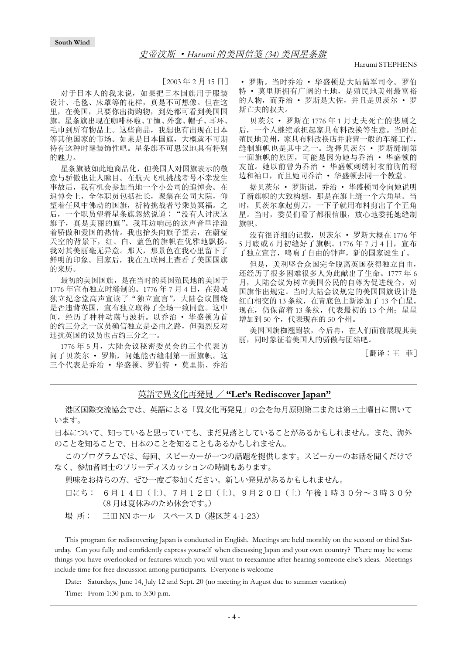[2003 年 2 月 15 日]

<span id="page-3-0"></span>对于日本人的我来说,如果把日本国旗用于服装 设计、毛毯、床罩等的花样,真是不可想像。但在这 里,在美国,只要你出街购物,到处都可看到美国国 旗。星条旗出现在咖啡杯啦、T 恤、外套、帽子、耳环、 毛巾到所有物品上。这些商品,我想也有出现在日本 等其他国家的市场。如果是日本国旗,大概就不可期 待有这种时髦装饰性吧。星条旗不可思议地具有特别 的魅力。

星条旗被如此地商品化,但美国人对国旗表示的敬 意与骄傲也让人瞠目。在航天飞机挑战者号不幸发生 事故后,我有机会参加当地一个小公司的追悼会。在 追悼会上,全体职员包括社长,聚集在公司大院,仰 望着任风中佛动的国旗,祈祷挑战者号乘员冥福。之 后,一个职员望着星条旗忽然说道∶"没有人讨厌这 旗子,真是美丽的旗"。我耳边响起的这声音里洋溢 着骄傲和爱国的热情。我也抬头向旗子望去,在蔚蓝 天空的背景下,红、白、蓝色的旗帜在优雅地飘扬。 我对其美丽毫无异意。那天,那景色在我心里留下了 鲜明的印象。回家后,我在互联网上查看了美国国旗 的来历。

最初的美国国旗,是在当时的英国殖民地的美国于 1776 年宣布独立时缝制的。1776 年 7 月 4 日,在费城 独立纪念堂高声宣读了"独立宣言",大陆会议围绕 是否违背英国,宣布独立取得了全场一致同意。这中 间,经历了种种动荡与波折。以乔治 · 华盛顿为首 的约三分之一议员确信独立是必由之路,但强烈反对 违抗英国的议员也占约三分之一。

1776 年 5 月,大陆会议秘密委员会的三个代表访 问了贝茨尔 · 罗斯,问她能否缝制第一面旗帜。这 三个代表是乔治 · 华盛顿、罗伯特 · 莫里斯、乔治

· 罗斯。当时乔治 · 华盛顿是大陆陆军司令。罗伯 特 · 莫里斯拥有广阔的土地,是殖民地美州最富裕 的人物,而乔治 · 罗斯是大佐,并且是贝茨尔 · 罗 斯亡夫的叔夫。

贝茨尔 · 罗斯在 1776 年 1 月丈夫死亡的悲剧之 后,一个人继续承担起家具布料改换等生意。当时在 殖民地美州,家具布料改换店并兼营一般的车缝工作, 缝制旗帜也是其中之一。选择贝茨尔 · 罗斯缝制第 一面旗帜的原因,可能是因为她与乔治 · 华盛顿的 友谊。她以前曾为乔治 · 华盛顿刺绣衬衣前胸的褶 边和袖口,而且她同乔治 · 华盛顿去同一个教堂。

据贝茨尔 · 罗斯说,乔治 · 华盛顿司令向她说明 了新旗帜的大致构想,那是在旗上缝一个六角星。当 时,贝茨尔拿起剪刀,一下子就用布料剪出了个五角 星。当时,委员们看了都很信服,放心地委托她缝制 旗帜。

没有很详细的记载,贝茨尔 · 罗斯大概在 1776 年 5 月底或 6 月初缝好了旗帜。1776 年 7 月 4 日,宣布 了独立宣言,鸣响了自由的钟声,新的国家诞生了。

但是,美利坚合众国完全脱离英国获得独立自由, 还经历了很多困难很多人为此献出了生命。1777 年 6 月,大陆会议为树立美国公民的自尊为促进统合,对 国旗作出规定。当时大陆会议规定的美国国旗设计是 红白相交的 13 条纹,在青底色上新添加了 13 个白星。 现在,仍保留着13条纹,代表最初的13个州;星星 增加到 50 个,代表现在的 50 个州。

美国国旗椥翘跗欤,今后冉,在人们面前展现其美 丽,同时象征着美国人的骄傲与团结吧。

[翻译∶王 菲]

### 英語で異文化再発見 / **"Let's Rediscover Japan"**

港区国際交流協会では、英語による「異文化再発見」の会を毎月原則第二または第三土曜日に開いて います。

日本について、知っていると思っていても、まだ見落としていることがあるかもしれません。また、海外 のことを知ることで、日本のことを知ることもあるかもしれません。

このプログラムでは、毎回、スピーカーが一つの話題を提供します。スピーカーのお話を聞くだけで なく、参加者同士のフリーディスカッションの時間もあります。

興味をお持ちの方、ぜひ一度ご参加ください。新しい発見があるかもしれません。

日にち: 6月14日(土)、7月12日(土)、9月20日(土)午後1時30分~3時30分 (8 月は夏休みのため休会です。)

場 所: 三田 NN ホール スペース D(港区芝 4-1-23)

This program for rediscovering Japan is conducted in English. Meetings are held monthly on the second or third Saturday. Can you fully and confidently express yourself when discussing Japan and your own country? There may be some things you have overlooked or features which you will want to reexamine after hearing someone else's ideas. Meetings include time for free discussion among participants. Everyone is welcome

Date: Saturdays, June 14, July 12 and Sept. 20 (no meeting in August due to summer vacation)

Time: From 1:30 p.m. to 3:30 p.m.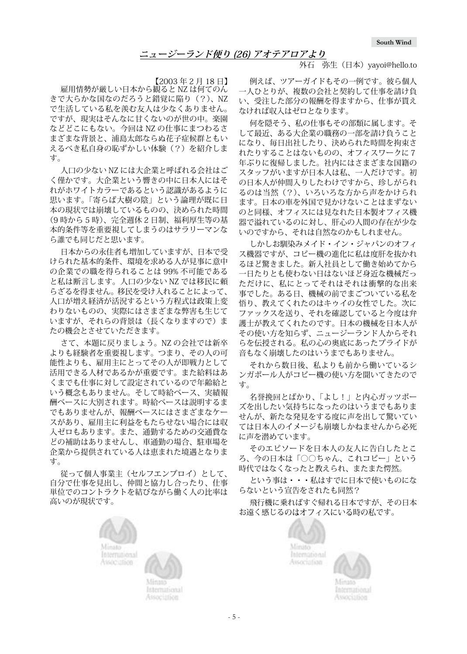外石 弥生 (日本) yayoi@hello.to

【2003 年 2 月 18 日】

<span id="page-4-0"></span>雇用情勢が厳しい日本から観ると NZ は何てのん きで大らかな国なのだろうと錯覚に陥り(?)、NZ で生活している私を羨む友人は少なくありません。 ですが、現実はそんなに甘くないのが世の中。楽園 などどこにもない。今回は NZ の仕事にまつわるさ まざまな背景と、浦島太郎ならぬ花子症候群ともい えるべき私自身の恥ずかしい体験(?)を紹介しま す。

人口の少ない NZ には大企業と呼ばれる会社はご く僅かです。大企業という響きの中に日本人にはそ れがホワイトカラーであるという認識があるように 思います。「寄らば大樹の陰」という論理が既に日 本の現状では崩壊しているものの、決められた時間 (9 時から 5 時)、完全週休 2 日制、福利厚生等の基 本的条件等を重要視してしまうのはサラリーマンな ら誰でも同じだと思います。

日本からの永住者も増加していますが、日本で受 けられた基本的条件、環境を求める人が見事に意中 の企業での職を得られることは 99% 不可能である と私は断言します。人口の少ない NZ では移民に頼 らざるを得ません。移民を受け入れることによって、 人口が増え経済が活況するという方程式は政策上変 わりないものの、実際にはさまざまな弊害も生じて いますが、それらの背景は(長くなりますので)ま たの機会とさせていただきます。

さて、本題に戻りましょう。NZ の会社では新卒 よりも経験者を重要視します。つまり、その人の可 能性よりも、雇用主にとってその人が即戦力として 活用できる人材であるかが重要です。また給料はあ くまでも仕事に対して設定されているので年齢給と いう概念もありません。そして時給ベース、実績報 酬ベースに大別されます。時給ベースは説明するま でもありませんが、報酬ベースにはさまざまなケー スがあり、雇用主に利益をもたらせない場合には収 入ゼロもあります。また、通勤するための交通費な どの補助はありませんし、車通勤の場合、駐車場を 企業から提供されている人は恵まれた境遇となりま す。

従って個人事業主(セルフエンプロイ)として、 自分で仕事を見出し、仲間と協力し合ったり、仕事 単位でのコントラクトを結びながら働く人の比率は 高いのが現状です。

> Minato International

Association

例えば、ツアーガイドもその一例です。彼ら個人 一人ひとりが、複数の会社と契約して仕事を請け負 い、受注した部分の報酬を得ますから、仕事が貰え なければ収入はゼロとなります。

何を隠そう、私の仕事もその部類に属します。そ して最近、ある大企業の職務の一部を請け負うこと になり、毎日出社したり、決められた時間を拘束さ れたりすることはないものの、オフィスワークに7 年ぶりに復帰しました。社内にはさまざまな国籍の スタッフがいますが日本人は私、一人だけです。初 の日本人が仲間入りしたわけですから、珍しがられ るのは当然(?)、いろいろな方から声をかけられ ます。日本の車を外国で見かけないことはまずない のと同様、オフィスには見なれた日本製オフィス機 器で溢れているのに対し、肝心の人間の存在が少な いのですから、それは自然なのかもしれません。

しかしお馴染みメイド・イン・ジャパンのオフィ ス機器ですが、コピー機の進化に私は度肝を抜かれ るほど驚きました。新入社員として働き始めてから 一日たりとも使わない日はないほど身近な機械だっ ただけに、私にとってそれはそれは衝撃的な出来 事でした。ある日、機械の前でまごついている私を 悟り、教えてくれたのはキゥイの女性でした。次に ファックスを送り、それを確認していると今度は弁 護士が教えてくれたのです。日本の機械を日本人が その使い方を知らず、ニュージーランド人からそれ らを伝授される。私の心の奥底にあったプライドが 音もなく崩壊したのはいうまでもありません。

それから数日後、私よりも前から働いているシ ンガポール人がコピー機の使い方を聞いてきたので す。

名誉挽回とばかり、「よし!」と内心ガッツポー ズを出したい気持ちになったのはいうまでもありま せんが、新たな発見をする度に声を出して驚いてい ては日本人のイメージも崩壊しかねませんから必死 に声を潜めています。

そのエピソードを日本人の友人に告白したとこ ろ、今の日本は「○○ちゃん、これコピー」という 時代ではなくなったと教えられ、またまた愕然。

という事は・・・私はすでに日本で使いものにな らないという宣告をされたも同然?

飛行機に乗ればすぐ帰れる日本ですが、その日本 お遠く感じるのはオフィスにいる時の私です。





International Association



- 5 -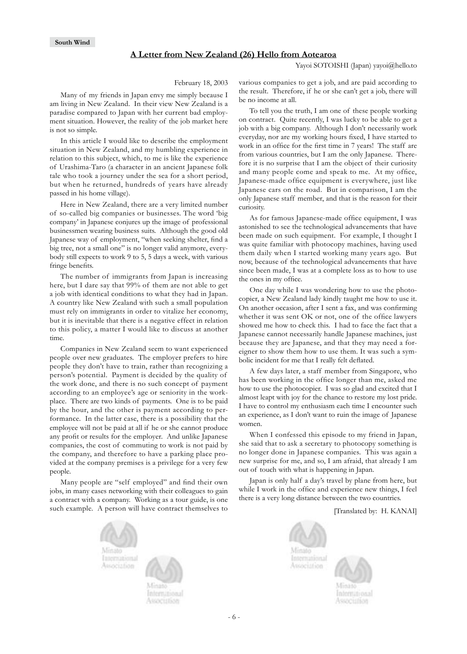#### **A Letter from New Zealand (26) Hello from Aotearoa**

Yayoi SOTOISHI (Japan) yayoi@hello.to

February 18, 2003

<span id="page-5-0"></span>Many of my friends in Japan envy me simply because I am living in New Zealand. In their view New Zealand is a paradise compared to Japan with her current bad employment situation. However, the reality of the job market here is not so simple.

In this article I would like to describe the employment situation in New Zealand, and my humbling experience in relation to this subject, which, to me is like the experience of Urashima-Taro (a character in an ancient Japanese folk tale who took a journey under the sea for a short period, but when he returned, hundreds of years have already passed in his home village).

Here in New Zealand, there are a very limited number of so-called big companies or businesses. The word 'big company' in Japanese conjures up the image of professional businessmen wearing business suits. Although the good old Japanese way of employment, "when seeking shelter, find a big tree, not a small one" is no longer valid anymore, everybody still expects to work 9 to 5, 5 days a week, with various fringe benefits.

The number of immigrants from Japan is increasing here, but I dare say that 99% of them are not able to get a job with identical conditions to what they had in Japan. A country like New Zealand with such a small population must rely on immigrants in order to vitalize her economy, but it is inevitable that there is a negative effect in relation to this policy, a matter I would like to discuss at another time.

Companies in New Zealand seem to want experienced people over new graduates. The employer prefers to hire people they don't have to train, rather than recognizing a person's potential. Payment is decided by the quality of the work done, and there is no such concept of payment according to an employee's age or seniority in the workplace. There are two kinds of payments. One is to be paid by the hour, and the other is payment according to performance. In the latter case, there is a possibility that the employee will not be paid at all if he or she cannot produce any profit or results for the employer. And unlike Japanese companies, the cost of commuting to work is not paid by the company, and therefore to have a parking place provided at the company premises is a privilege for a very few people.

Many people are "self employed" and find their own jobs, in many cases networking with their colleagues to gain a contract with a company. Working as a tour guide, is one such example. A person will have contract themselves to various companies to get a job, and are paid according to the result. Therefore, if he or she can't get a job, there will be no income at all.

To tell you the truth, I am one of these people working on contract. Quite recently, I was lucky to be able to get a job with a big company. Although I don't necessarily work everyday, nor are my working hours fixed, I have started to work in an office for the first time in 7 years! The staff are from various countries, but I am the only Japanese. Therefore it is no surprise that I am the object of their curiosity and many people come and speak to me. At my office, Japanese-made office equipment is everywhere, just like Japanese cars on the road. But in comparison, I am the only Japanese staff member, and that is the reason for their curiosity.

As for famous Japanese-made office equipment, I was astonished to see the technological advancements that have been made on such equipment. For example, I thought I was quite familiar with photocopy machines, having used them daily when I started working many years ago. But now, because of the technological advancements that have since been made, I was at a complete loss as to how to use the ones in my office.

One day while I was wondering how to use the photocopier, a New Zealand lady kindly taught me how to use it. On another occasion, after I sent a fax, and was confirming whether it was sent OK or not, one of the office lawyers showed me how to check this. I had to face the fact that a Japanese cannot necessarily handle Japanese machines, just because they are Japanese, and that they may need a foreigner to show them how to use them. It was such a symbolic incident for me that I really felt deflated.

A few days later, a staff member from Singapore, who has been working in the office longer than me, asked me how to use the photocopier. I was so glad and excited that I almost leapt with joy for the chance to restore my lost pride. I have to control my enthusiasm each time I encounter such an experience, as I don't want to ruin the image of Japanese women.

When I confessed this episode to my friend in Japan, she said that to ask a secretary to photocopy something is no longer done in Japanese companies. This was again a new surprise for me, and so, I am afraid, that already I am out of touch with what is happening in Japan.

Japan is only half a day's travel by plane from here, but while I work in the office and experience new things, I feel there is a very long distance between the two countries.

[Translated by: H. KANAI]





International Association



ntermitional SSOCIIBOS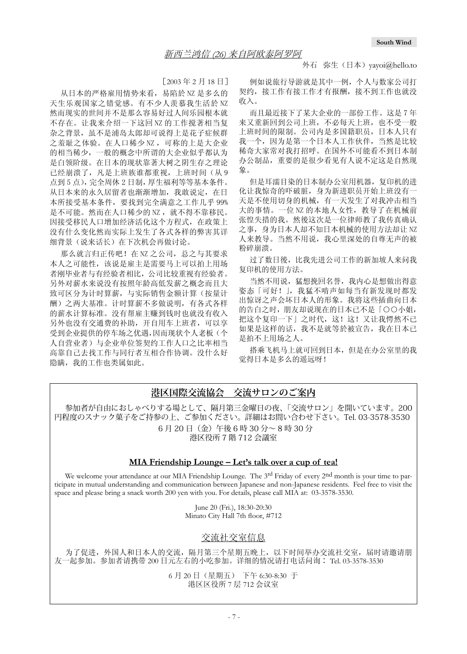#### 外石 弥生(日本) yayoi@hello.to

[2003 年 2 月 18 日]

<span id="page-6-0"></span>从日本的严格雇用情势来看,易陷於 NZ 是多么的 天生乐观国家之错觉感。有不少人羡慕我生活於 NZ 然而现实的世间并不是那么容易好过人间乐园根本就 不存在。让我来介绍一下这回 NZ 的工作搅著相当复 杂之背景,虽不是浦岛太郎却可说得上是花子症候群 之羞耻之体验。在人口稀少 NZ ,可称的上是大企业 的相当稀少,一般的概念中所谓的大企业似乎都认为 是白领阶级。在日本的现状靠著大树之阴生存之理论 已经崩溃了,凡是上班族谁都重视,上班时间(从9 点到 5 点),完全周休 2 日制,厚生福利等等基本条件。 从日本来的永久居留者也渐渐增加,我敢说定,在日 本所接受基本条件,要找到完全满意之工作几乎 99% 是不可能。然而在人口稀少的 NZ, 就不得不靠移民。 因接受移民人口增加经济活化这个方程式,在政策上 没有什么变化然而实际上发生了各式各样的弊害其详 细背景(说来话长)在下次机会再做讨论。

那么就言归正传吧! 在 NZ 之公司, 总之与其要求 本人之可能性,该说是雇主是需要马上可以拍上用场 者刚毕业者与有经验者相比,公司比较重视有经验者。 另外对薪水来说没有按照年龄高低发薪之概念而且大 致可区分为计时算薪,与实际销售金额计算(按量计 酬)之两大基准。计时算薪不多做说明,有各式各样 的薪水计算标准。没有帮雇主赚到钱时也就没有收入 另外也没有交通费的补助,开自用车上班者,可以享 受到企业提供的停车场之优遇,因而现状个人老板(个 人自营业者)与企业单位签契约工作人口之比率相当 高靠自己去找工作与同行者互相合作协调。没什么好 隐瞒,我的工作也类属如此。

例如说旅行导游就是其中一例,个人与数家公司打 契约,接工作有接工作才有报酬,接不到工作也就没 收入。

而且最近接下了某大企业的一部份工作。这是 7 年 来又重新回到公司上班,不必每天上班,也不受一般 上班时间的限制。公司内是多国籍职员,日本人只有 我一个,因为是第一个日本人工作伙伴,当然是比较 稀奇大家常对我打招呼。在国外不可能看不到日本制 办公制品,重要的是很少看见有人说不定这是自然现 象。

但是耳濡目染的日本制办公室用机器,复印机的进 化计我惊奇的吓破脏,身为新进职员开始上班没有一 天是不使用切身的机械,有一天发生了对我冲击相当 大的事情。一位 NZ 的本地人女性,教导了在机械前 张惶失措的我。然後这次是一位律师教了我传真确认 之事,身为日本人却不知日本机械的使用方法却让 NZ 人来教导。当然不用说,我心里深处的自尊无声的被 粉碎崩溃。

过了数日後,比我先进公司工作的新加坡人来问我 复印机的使用方法。

当然不用说,猛想挽回名誉,我内心是想做出得意 姿态「可好!」,我猛不啃声如每当有新发现时都发 出惊讶之声会坏日本人的形象。我将这些插曲向日本 的告白之时,朋友却说现在的日本已不是「○○小姐, 把这个复印一下」之时代,这!这!又让我愕然不已 如果是这样的话,我不是就等於被宣告,我在日本已 是拍不上用场之人。

搭乘飞机马上就可回到日本,但是在办公室里的我 觉得日本是多么的遥远呀!

## **港区国際交流協会 交流サロンのご案内**

参加者が自由におしゃべりする場として、隔月第三金曜日の夜、「交流サロン」を開いています。200 円程度のスナック菓子をご持参の上、ご参加ください。詳細はお問い合わせ下さい。Tel. 03-3578-3530 6 月 20 日(金)午後 6 時 30 分~ 8 時 30 分 港区役所 7 階 712 会議室

### **MIA Friendship Lounge – Let's talk over a cup of tea!**

We welcome your attendance at our MIA Friendship Lounge. The 3<sup>rd</sup> Friday of every 2nd month is your time to participate in mutual understanding and communication between Japanese and non-Japanese residents. Feel free to visit the space and please bring a snack worth 200 yen with you. For details, please call MIA at: 03-3578-3530.

> June 20 (Fri.), 18:30-20:30 Minato City Hall 7th floor, #712

## 交流社交室信息

为了促进,外国人和日本人的交流,隔月第三个星期五晚上,以下时间举办交流社交室,届时请邀请朋 友一起参加。参加者请携带 200 日元左右的小吃参加。详细的情况请打电话问询∶ Tel. 03-3578-3530

> 6 月 20 日(星期五) 下午 6:30-8:30 于 港区区役所 7 层 712 会议室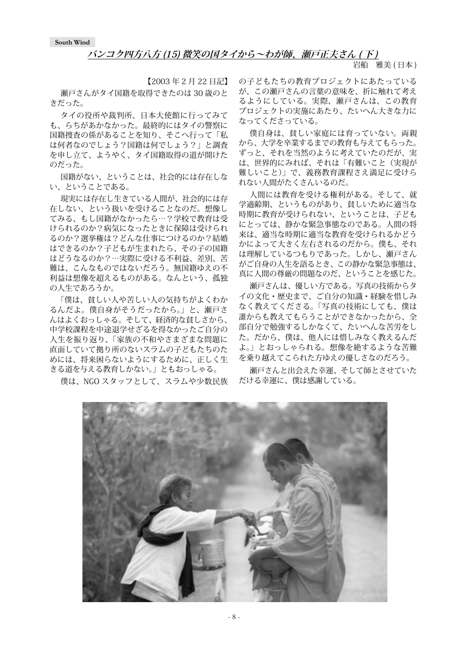## **バンコク四方八方 (15) 微笑の国タイから~わが師、瀬戸正夫さん ( 下 )**

岩船 雅美 (日本)

<span id="page-7-0"></span>【2003 年 2 月 22 日記】 瀬戸さんがタイ国籍を取得できたのは 30 歳のと きだった。

タイの役所や裁判所、日本大使館に行ってみて も、らちがあかなかった。最終的にはタイの警察に 国籍捜査の係があることを知り、そこへ行って「私 は何者なのでしょう?国籍は何でしょう?」と調査 を申し立て、ようやく、タイ国籍取得の道が開けた のだった。

国籍がない、ということは、社会的には存在しな い、ということである。

現実には存在し生きている人間が、社会的には存 在しない、という扱いを受けることなのだ。想像し てみる、もし国籍がなかったら…?学校で教育は受 けられるのか?病気になったときに保障は受けられ るのか?選挙権は?どんな仕事につけるのか?結婚 はできるのか?子どもが生まれたら、その子の国籍 はどうなるのか?…実際に受ける不利益、差別、苦 難は、こんなものではないだろう。無国籍ゆえの不 利益は想像を超えるものがある。なんという、孤独 の人生であろうか。

「僕は、貧しい人や苦しい人の気持ちがよくわか るんだよ。僕自身がそうだったから。」と、瀬戸さ んはよくおっしゃる。そして、経済的な貧しさから、 中学校課程を中途退学せざるを得なかったご自分の 人生を振り返り、「家族の不和やさまざまな問題に 直面していて拠り所のないスラムの子どもたちのた めには、将来困らないようにするために、正しく生 きる道を与える教育しかない。」ともおっしゃる。

僕は、NGO スタッフとして、スラムや少数民族

の子どもたちの教育プロジェクトにあたっている が、この瀬戸さんの言葉の意味を、折に触れて考え るようにしている。実際、瀬戸さんは、この教育 プロジェクトの実施にあたり、たいへん大きな力に なってくださっている。

僕自身は、貧しい家庭には育っていない。両親 から、大学を卒業するまでの教育も与えてもらった。 ずっと、それを当然のように考えていたのだが、実 は、世界的にみれば、それは「有難いこと(実現が 難しいこと)」で、義務教育課程さえ満足に受けら れない人間がたくさんいるのだ。

人間には教育を受ける権利がある。そして、就 学適齢期、というものがあり、貧しいために適当な 時期に教育が受けられない、ということは、子ども にとっては、静かな緊急事態なのである。人間の将 来は、適当な時期に適当な教育を受けられるかどう かによって大きく左右されるのだから。僕も、それ は理解しているつもりであった。しかし、瀬戸さん がご自身の人生を語るとき、この静かな緊急事態は、 真に人間の尊厳の問題なのだ、ということを感じた。

瀬戸さんは、優しい方である。写真の技術からタ イの文化・歴史まで、ご自分の知識・経験を惜しみ なく教えてくださる。「写真の技術にしても、僕は 誰からも教えてもらうことができなかったから、全 部自分で勉強するしかなくて、たいへんな苦労をし た。だから、僕は、他人には惜しみなく教えるんだ よ。」とおっしゃられる。想像を絶するような苦難 を乗り越えてこられた方ゆえの優しさなのだろう。

瀬戸さんと出会えた幸運、そして師とさせていた だける幸運に、僕は感謝している。

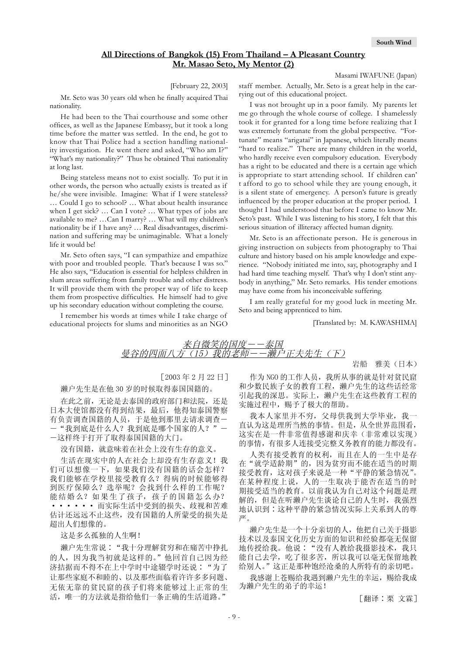Masami IWAFUNE (Japan)

## **All Directions of Bangkok (15) From Thailand – A Pleasant Country Mr. Masao Seto, My Mentor (2)**

[February 22, 2003]

<span id="page-8-0"></span>Mr. Seto was 30 years old when he finally acquired Thai nationality.

He had been to the Thai courthouse and some other offices, as well as the Japanese Embassy, but it took a long time before the matter was settled. In the end, he got to know that Thai Police had a section handling nationality investigation. He went there and asked, "Who am I?" "What's my nationality?" Thus he obtained Thai nationality at long last.

Being stateless means not to exist socially. To put it in other words, the person who actually exists is treated as if he/she were invisible. Imagine: What if I were stateless? … Could I go to school? … What about health insurance when I get sick? … Can I vote? … What types of jobs are available to me? …Can I marry? … What will my children's nationality be if I have any? … Real disadvantages, discrimination and suffering may be unimaginable. What a lonely life it would be!

Mr. Seto often says, "I can sympathize and empathize with poor and troubled people. That's because I was so." He also says, "Education is essential for helpless children in slum areas suffering from family trouble and other distress. It will provide them with the proper way of life to keep them from prospective difficulties. He himself had to give up his secondary education without completing the course.

I remember his words at times while I take charge of educational projects for slums and minorities as an NGO staff member. Actually, Mr. Seto is a great help in the carrying out of this educational project.

I was not brought up in a poor family. My parents let me go through the whole course of college. I shamelessly took it for granted for a long time before realizing that I was extremely fortunate from the global perspective. "Fortunate" means "arigatai" in Japanese, which literally means "hard to realize." There are many children in the world, who hardly receive even compulsory education. Everybody has a right to be educated and there is a certain age which is appropriate to start attending school. If children can' t afford to go to school while they are young enough, it is a silent state of emergency. A person's future is greatly influenced by the proper education at the proper period. I thought I had understood that before I came to know Mr. Seto's past. While I was listening to his story, I felt that this serious situation of illiteracy affected human dignity.

Mr. Seto is an affectionate person. He is generous in giving instruction on subjects from photography to Thai culture and history based on his ample knowledge and experience. "Nobody initiated me into, say, photography and I had hard time teaching myself. That's why I don't stint anybody in anything," Mr. Seto remarks. His tender emotions may have come from his inconceivable suffering.

I am really grateful for my good luck in meeting Mr. Seto and being apprenticed to him.

[Translated by: M. KAWASHIMA]

来自微笑的国度――泰国 曼谷的四面八方(15)我的老师――濑户正夫先生(下)

岩船 雅美(日本)

[2003 年 2 月 22 日] 濑户先生是在他 30 岁的时候取得泰国国籍的。

在此之前,无论是去泰国的政府部门和法院,还是 日本大使馆都没有得到结果,最后,他得知泰国警察 有负责调查国籍的人员,于是他到那里去请求调查― ―"我到底是什么人?我到底是哪个国家的人?"―

―这样终于打开了取得泰国国籍的大门。

没有国籍,就意味着在社会上没有生存的意义。 生活在现实中的人在社会上却没有生存意义!我 们可以想像一下,如果我们没有国籍的话会怎样? 我们能够在学校里接受教育么?得病的时候能够得 到医疗保障么?选举呢?会找到什么样的工作呢? 能结婚么?如果生了孩子,孩子的国籍怎么办? ······ 而实际生活中受到的损失、歧视和苦难 估计还远远不止这些,没有国籍的人所蒙受的损失是 超出人们想像的。

这是多么孤独的人生啊!

濑户先生常说∶"我十分理解贫穷和在痛苦中挣扎 的人,因为我当初就是这样的。"他回首自己因为经 济拮据而不得不在上中学时中途辍学时还说∶"为了 让那些家庭不和睦的、以及那些面临着许许多多问题、 无依无靠的贫民窟的孩子们将来能够过上正常的生 活,唯一的方法就是指给他们一条正确的生活道路。"

作为 NGO 的工作人员, 我所从事的就是针对贫民窟 和少数民族子女的教育工程,濑户先生的这些话经常 引起我的深思。实际上,濑户先生在这些教育工程的 实施过程中, 赐予了极大的帮助。

我本人家里并不穷,父母供我到大学毕业,我一 直认为这是理所当然的事情。但是,从全世界范围看, 这实在是一件非常值得感谢和庆幸(非常难以实现) 的事情,有很多人连接受完整义务教育的能力都没有。

人类有接受教育的权利,而且在人的一生中是存 在"就学适龄期"的,因为贫穷而不能在适当的时期 接受教育,这对孩子来说是一种"平静的紧急情况"。 在某种程度上说,人的一生取决于能否在适当的时 期接受适当的教育。以前我认为自己对这个问题是理 解的,但是在听濑户先生谈论自己的人生时,我强烈 地认识到∶这种平静的紧急情况实际上关系到人的尊 严。

濑户先生是一个十分亲切的人,他把自己关于摄影 技术以及泰国文化历史方面的知识和经验都毫无保留 地传授给我。他说∶"没有人教给我摄影技术,我只 能自己去学,吃了很多苦,所以我可以毫无保留地教 给别人。"这正是那种饱经沧桑的人所特有的亲切吧。

我感谢上苍赐给我遇到濑户先生的幸运, 赐给我成 为濑户先生的弟子的幸运!

[翻译∶栗 文霖]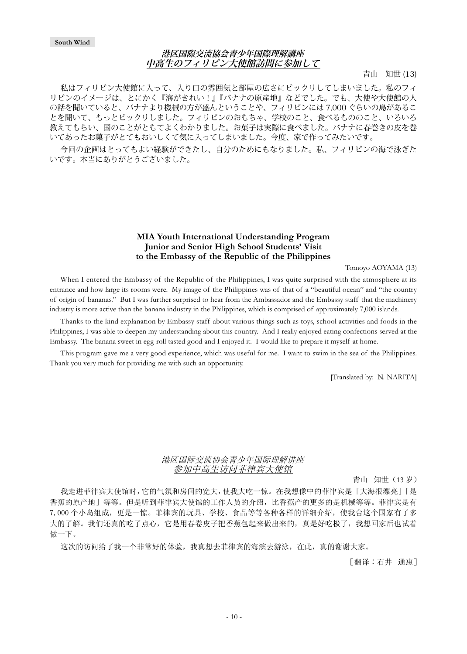### **港区国際交流協会青少年国際理解講座 中高生のフィリピン大使館訪問に参加して**

青山 知世 (13)

<span id="page-9-0"></span>私はフィリピン大使館に入って、入り口の雰囲気と部屋の広さにビックリしてしまいました。私のフィ リピンのイメージは、とにかく『海がきれい!』『バナナの原産地』などでした。でも、大使や大使館の人 の話を聞いていると、バナナより機械の方が盛んということや、フィリピンには 7,000 ぐらいの島があるこ とを聞いて、もっとビックリしました。フィリピンのおもちゃ、学校のこと、食べるもののこと、いろいろ 教えてもらい、国のことがともてよくわかりました。お菓子は実際に食べました。バナナに春巻きの皮を巻 いてあったお菓子がとてもおいしくて気に入ってしまいました。今度、家で作ってみたいです。

今回の企画はとってもよい経験ができたし、自分のためにもなりました。私、フィリピンの海で泳ぎた いです。本当にありがとうございました。

### **MIA Youth International Understanding Program Junior and Senior High School Students' Visit to the Embassy of the Republic of the Philippines**

Tomoyo AOYAMA (13)

When I entered the Embassy of the Republic of the Philippines, I was quite surprised with the atmosphere at its entrance and how large its rooms were. My image of the Philippines was of that of a "beautiful ocean" and "the country of origin of bananas." But I was further surprised to hear from the Ambassador and the Embassy staff that the machinery industry is more active than the banana industry in the Philippines, which is comprised of approximately 7,000 islands.

Thanks to the kind explanation by Embassy staff about various things such as toys, school activities and foods in the Philippines, I was able to deepen my understanding about this country. And I really enjoyed eating confections served at the Embassy. The banana sweet in egg-roll tasted good and I enjoyed it. I would like to prepare it myself at home.

This program gave me a very good experience, which was useful for me. I want to swim in the sea of the Philippines. Thank you very much for providing me with such an opportunity.

[Translated by: N. NARITA]

## 港区国际交流协会青少年国际理解讲座 参加中高生访问菲律宾大使馆

青山 知世(13 岁)

我走进菲律宾大使馆时,它的气氛和房间的宽大,使我大吃一惊。在我想像中的菲律宾是「大海很漂亮」「是 香蕉的原产地」等等。但是听到菲律宾大使馆的工作人员的介绍,比香蕉产的更多的是机械等等。菲律宾是有 7,000 个小岛组成,更是一惊。菲律宾的玩具、学校、食品等等各种各样的详细介绍,使我台这个国家有了多 大的了解。我们还真的吃了点心,它是用春卷皮子把香蕉包起来做出来的,真是好吃极了,我想回家后也试着 做一下。

这次的访问给了我一个非常好的体验,我真想去菲律宾的海滨去游泳,在此,真的谢谢大家。

[翻译∶石井 通惠]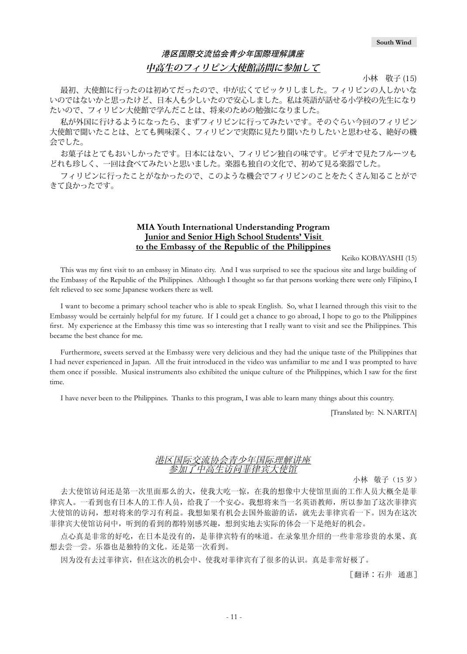## 港区国際交流協会青少年国際理解講座 **中高生のフィリピン大使館訪問に参加して**

小林 敬子 (15)

最初、大使館に行ったのは初めてだったので、中が広くてビックリしました。フィリピンの人しかいな いのではないかと思ったけど、日本人も少しいたので安心しました。私は英語が話せる小学校の先生になり たいので、フィリピン大使館で学んだことは、将来のための勉強になりました。

私が外国に行けるようになったら、まずフィリピンに行ってみたいです。そのぐらい今回のフィリピン 大使館で聞いたことは、とても興味深く、フィリピンで実際に見たり聞いたりしたいと思わせる、絶好の機 会でした。

お菓子はとてもおいしかったです。日本にはない、フィリピン独自の味です。ビデオで見たフルーツも どれも珍しく、一回は食べてみたいと思いました。楽器も独自の文化で、初めて見る楽器でした。

フィリピンに行ったことがなかったので、このような機会でフィリピンのことをたくさん知ることがで きて良かったです。

## **MIA Youth International Understanding Program Junior and Senior High School Students' Visit to the Embassy of the Republic of the Philippines**

Keiko KOBAYASHI (15)

This was my first visit to an embassy in Minato city. And I was surprised to see the spacious site and large building of the Embassy of the Republic of the Philippines. Although I thought so far that persons working there were only Filipino, I felt relieved to see some Japanese workers there as well.

I want to become a primary school teacher who is able to speak English. So, what I learned through this visit to the Embassy would be certainly helpful for my future. If I could get a chance to go abroad, I hope to go to the Philippines first. My experience at the Embassy this time was so interesting that I really want to visit and see the Philippines. This became the best chance for me.

Furthermore, sweets served at the Embassy were very delicious and they had the unique taste of the Philippines that I had never experienced in Japan. All the fruit introduced in the video was unfamiliar to me and I was prompted to have them once if possible. Musical instruments also exhibited the unique culture of the Philippines, which I saw for the first time.

I have never been to the Philippines. Thanks to this program, I was able to learn many things about this country.

[Translated by: N. NARITA]

#### 港区国际交流协会青少年国际理解讲座 参加了中高生访问菲律宾大使馆

小林 敬子(15 岁)

去大使馆访问还是第一次里面那么的大,使我大吃一惊,在我的想像中大使馆里面的工作人员大概全是菲 律宾人。一看到也有日本人的工作人员,给我了一个安心。我想将来当一名英语教师,所以参加了这次菲律宾 大使馆的访问,想对将来的学习有利益。我想如果有机会去国外旅游的话,就先去菲律宾看一下。因为在这次 菲律宾大使馆访问中,听到的看到的都特别感兴趣,想到实地去实际的体会一下是绝好的机会。

点心真是非常的好吃,在日本是没有的,是菲律宾特有的味道。在录象里介绍的一些非常珍贵的水果、真 想去尝一尝。乐器也是独特的文化。还是第一次看到。

因为没有去过菲律宾,但在这次的机会中、使我对菲律宾有了很多的认识。真是非常好极了。

[翻译∶石井 通惠]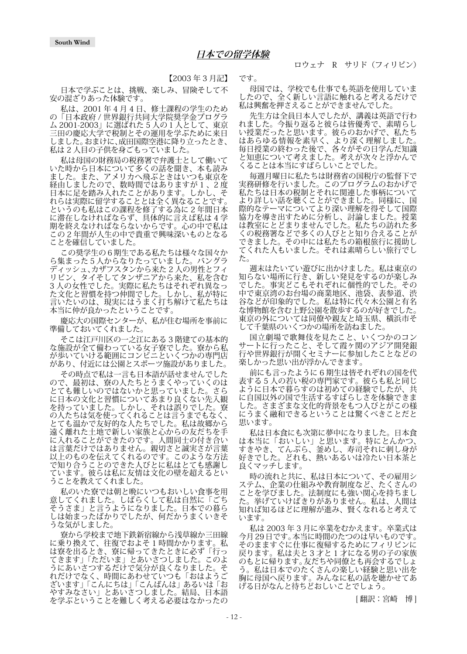【2003 年 3 月記】

日本で学ぶことは、挑戦、楽しみ、冒険そして不 安の混ざりあった体験です。

私は、2001 年 4 月 4 日、修士課程の学生のため の「日本政府 / 世界銀行共同大学院奨学金プログラ ム 2001-2003」に選ばれた 5 人の1人として、東京 三田の慶応大学で税制とその運用を学ぶために来日 しました。おまけに、成田国際空港に降り立ったとき、 私は 2 人目の子供を身ごもっていました。

私は母国の財務局の税務署で弁護士として働いて いた時から日本について多くの話を聞き、本も読み ました。また、アメリカへ飛ぶときはいつも東京を 経由しましたので、数時間ではありますが 1 、2 度 日本に足を踏み入れたことがあります。しかし、そ れらは実際に留学することとは全く異なることです。 というのも私はこの課程を修了する為に 2 年間日本 に滞在しなければならず、具体的に言えば私は 4 学 期を終えなければならないからです。心の中で私は この 2 年間が人生の中で貴重で興味深いものとなる ことを確信していました。

この奨学生の6期生である私たちは様々な国々か ら集まった5人からなりたっていました。バングラ ディッシュ、カザフスタンから来た 2 人の男性とフィ リピン、タイそしてタンザニアから来た、私を含む 3 人の女性でした。実際に私たちはそれぞれ異なっ た文化と習慣を持つ仲間でした。しかし、私が特に 言いたいのは、現実にはうまく打ち解けて私たちは 本当に仲が良かったということです。

慶応大の国際センターが、私が住む場所を事前に 準備しておいてくれました。

そこは江戸川区の一之江にある 3 階建ての基本的 な施設が全て備わっている女子寮でした。寮から私 が歩いていける範囲にコンビニといくつかの専門店 があり、付近には公園とスポーツ施設がありました。

その時点で私は一言も日本語が話せませんでした ので、最初は、寮の人たちとうまくやっていくのは とても難しいのではないかと思っていました。さら に日本の文化と習慣についてあまり良くない先入観 を持っていました。しかし、それは誤りでした。寮 の人たちは気を使ってくれることは言うまでもなく、 とても温かで友好的な人たちでした。私は故郷から 遠く離れた土地で新しい家族と心からの友だちを手 に入れることができたのです。人間同士の付き合い は言葉だけではありません。親切さと誠実さが言葉 以上のものを伝えてくれるのです。このような方法 で知り合うことのできた人びとに私はとても感謝し ています。彼らは私に友情は文化の壁を超えるとい うことを教えてくれました。

私のいた寮では朝と晩にいつもおいしい食事を用 意してくれました。しばらくして私は自然に「ごち そうさま」と言うようになりました。日本での暮ら しは始まったばかりでしたが、何だかうまくいきそ うな気がしました。

寮から学校まで地下鉄新宿線から浅草線か三田線 に乗り換えて、往復でおよそ 1 時間かかります。私 は寮を出るとき、寮に帰ってきたときに必ず「行っ てきます」「ただいま」とあいさつしました。このよ うにあいさつするだけで気分が良くなりました。そ れだけでなく、時間にあわせていつも「おはようご ざいます」「こんにちは」「こんばんは」あるいは「お やすみなさい」とあいさつしました。結局、日本語 を学ぶということを難しく考える必要はなかったの

です。

母国では、学校でも仕事でも英語を使用していま したので、全く新しい言語に触れると考えるだけで 私は興奮を押さえることができませんでした。

先生方は全員日本人でしたが、講義は英語で行わ れました。今振り返ると彼らは皆優秀で、素晴らし い授業だったと思います。彼らのおかげで、私たち はあらゆる情報を素早く、より深く理解しました。 毎日授業の終わった後で、各々がその日学んだ知識 と知恵について考えました。考えが次々と浮かんで くることは本当にすばらしいことでした。

毎週月曜日に私たちは財務省の国税庁の監督下で 実務研修を行いました。このプログラムのおかげで 私たちは日本の税制とそれに関連した事柄について より詳しい話を聴くことができました。同様に、国 際的なテーマについてより深い理解を得そして国際 協力を導き出すために分析し、討論しました。授業 は教室にとどまりませんでした。私たちの訪れた多 くの税務署などで多くの人びとと知り合えることが できました。その中には私たちの箱根旅行に援助し てくれた人もいました。それは素晴らしい旅行でし た。

週末はたいてい遊びに出かけました。私は東京の 知らない場所に行き、新しい発見をするのが楽しみ でした。事実どこもそれぞれに個性的でした。その 中で東京湾のお台場の商業地区、池袋、表参道、渋 谷などが印象的でした。私は特に代々木公園と有名 な博物館を含む上野公園を散歩するのが好きでした。 東京の外については同僚や親友と埼玉県、横浜市そ して千葉県のいくつかの場所を訪ねました。

国立劇場で歌舞伎を見たこと、いくつかのコン サートに行ったこと、そして霞ヶ関のアジア開発銀 行や世界銀行が開くセミナーに参加したことなどの 楽しかった思い出が浮かんできます。

前にも言ったように 6 期生は皆それぞれの国を代 表する 5 人の若い税の専門家です。彼らも私と同じ ように日本で暮らすのは初めての経験でしたが、共 に自国以外の国で生活するすばらしさを体験できま した。さまざまな文化的背景をもつ人びとがこの様 にうまく融和できるということは驚くべきことだと 思います。

私は日本食にも次第に夢中になりました。日本食 は本当に「おいしい」と思います。特にとんかつ、 すきやき、てんぷら、釜めし、寿司それに刺し身が 好きでした。どれも、熱いあるいは冷たい日本茶と 良くマッチします。

時の流れと共に、私は日本について、その雇用シ ステム、企業の仕組みや教育制度など、たくさんの ことを学びました。法制度にも強い関心を持ちまし た。挙げていけばきりがありません。私は、人間は 知れば知るほどに理解が進み、賢くなれると考えて います。

私は 2003 年 3 月に卒業をむかえます。卒業式は 今月 29 日です。本当に時間のたつのは早いものです。 そのまますぐに仕事に復帰するためにフィリピンに 戻ります。私は夫と 3 才と 1 才になる男の子の家族 のもとに帰ります。友だちや同僚とも再会するでしょ う。私は日本でのたくさんの楽しい経験と思い出を 胸に母国へ戻ります。みんなに私の話を聴かせてあ げる日がなんと待ちどおしいことでしょう。

[翻訳:宮崎 博]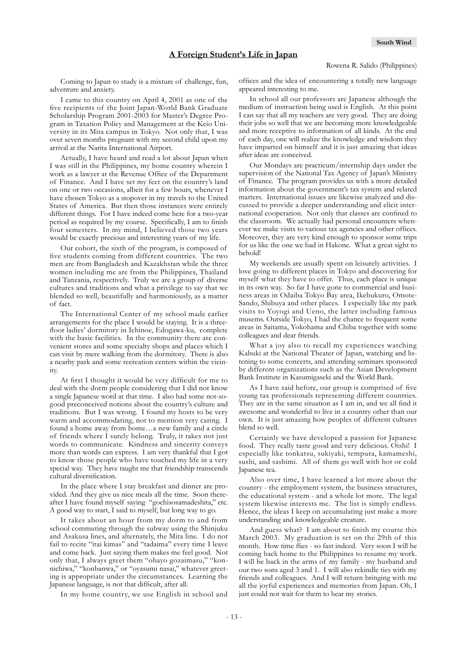Coming to Japan to study is a mixture of challenge, fun, adventure and anxiety.

I came to this country on April 4, 2001 as one of the five recipients of the Joint Japan-World Bank Graduate Scholarship Program 2001-2003 for Master's Degree Program in Taxation Policy and Management at the Keio University in its Mita campus in Tokyo. Not only that, I was over seven months pregnant with my second child upon my arrival at the Narita International Airport.

Actually, I have heard and read a lot about Japan when I was still in the Philippines, my home country wherein I work as a lawyer at the Revenue Office of the Department of Finance. And I have set my feet on the country's land on one or two occasions, albeit for a few hours, whenever I have chosen Tokyo as a stopover in my travels to the United States of America. But then those instances were entirely different things. For I have indeed come here for a two-year period as required by my course. Specifically, I am to finish four semesters. In my mind, I believed those two years would be exactly precious and interesting years of my life.

Our cohort, the sixth of the program, is composed of five students coming from different countries. The two men are from Bangladesh and Kazakhstan while the three women including me are from the Philippines, Thailand and Tanzania, respectively. Truly we are a group of diverse cultures and traditions and what a privilege to say that we blended so well, beautifully and harmoniously, as a matter of fact.

The International Center of my school made earlier arrangements for the place I would be staying. It is a threefloor ladies' dormitory in Ichinoe, Edogawa-ku, complete with the basic facilities. In the community there are convenient stores and some specialty shops and places which I can visit by mere walking from the dormitory. There is also a nearby park and some recreation centers within the vicinity.

At first I thought it would be very difficult for me to deal with the dorm people considering that I did not know a single Japanese word at that time. I also had some not-sogood preconceived notions about the country's culture and traditions. But I was wrong. I found my hosts to be very warm and accommodating, not to mention very caring. I found a home away from home…a new family and a circle of friends where I surely belong. Truly, it takes not just words to communicate. Kindness and sincerity conveys more than words can express. I am very thankful that I got to know those people who have touched my life in a very special way. They have taught me that friendship transcends cultural diversification.

In the place where I stay breakfast and dinner are provided. And they give us nice meals all the time. Soon thereafter I have found myself saying "gochisosamadeshita," etc. A good way to start, I said to myself, but long way to go.

It takes about an hour from my dorm to and from school commuting through the subway using the Shinjuku and Asakusa lines, and alternately, the Mita line. I do not fail to recite "itai kimas" and "tadaima" every time I leave and come back. Just saying them makes me feel good. Not only that, I always greet them "ohayo gozaimasu," "konnichiwa," "konbanwa," or "oyasumi nasai," whatever greeting is appropriate under the circumstances. Learning the Japanese language, is not that difficult, after all.

In my home country, we use English in school and

offices and the idea of encountering a totally new language appeared interesting to me.

In school all our professors are Japanese although the medium of instruction being used is English. At this point I can say that all my teachers are very good. They are doing their jobs so well that we are becoming more knowledgeable and more receptive to information of all kinds. At the end of each day, one will realize the knowledge and wisdom they have imparted on himself and it is just amazing that ideas after ideas are conceived.

Our Mondays are practicum/internship days under the supervision of the National Tax Agency of Japan's Ministry of Finance. The program provides us with a more detailed information about the government's tax system and related matters. International issues are likewise analyzed and discussed to provide a deeper understanding and elicit international cooperation. Not only that classes are confined to the classroom. We actually had personal encounters whenever we make visits to various tax agencies and other offices. Moreover, they are very kind enough to sponsor some trips for us like the one we had in Hakone. What a great sight to behold!

My weekends are usually spent on leisurely activities. I love going to different places in Tokyo and discovering for myself what they have to offer. Thus, each place is unique in its own way. So far I have gone to commercial and business areas in Odaiba Tokyo Bay area, Ikebukuro, Omote-Sando, Shibuya and other places. I especially like my park visits to Yoyogi and Ueno, the latter including famous musems. Outside Tokyo, I had the chance to frequent some areas in Saitama, Yokohama and Chiba together with some colleagues and dear friends.

What a joy also to recall my experiences watching Kabuki at the National Theater of Japan, watching and listening to some concerts, and attending seminars sponsored by different organizations such as the Asian Development Bank Institute in Kasumigaseki and the World Bank.

As I have said before, our group is comprised of five young tax professionals representing different countries. They are in the same situation as I am in, and we all find it awesome and wonderful to live in a country other than our own. It is just amazing how peoples of different cultures blend so well.

Certainly we have developed a passion for Japanese food. They really taste good and very delicious. Oishi! I especially like tonkatsu, sukiyaki, tempura, kamameshi, sushi, and sashimi. All of them go well with hot or cold Japanese tea.

Also over time, I have learned a lot more about the country - the employment system, the business structures, the educational system - and a whole lot more. The legal system likewise interests me. The list is simply endless. Hence, the ideas I keep on accumulating just make a more understanding and knowledgeable creature.

And guess what? I am about to finish my course this March 2003. My graduation is set on the 29th of this month. How time flies - so fast indeed. Very soon I will be coming back home to the Philippines to resume my work. I will be back in the arms of my family - my husband and our two sons aged 3 and 1. I will also rekindle ties with my friends and colleagues. And I will return bringing with me all the joyful experiences and memories from Japan. Oh, I just could not wait for them to hear my stories.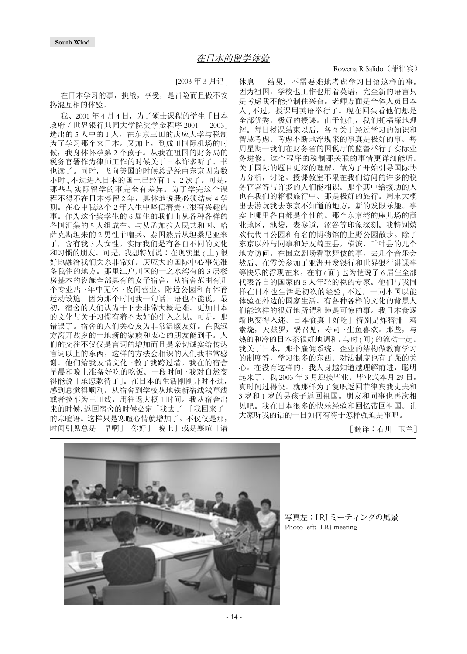Rowena R Salido (菲律宾)

#### [2003 年 3 月记 ]

<span id="page-13-0"></span>在日本学习的事,挑战,享受,是冒险而且做不安 搀混互相的体验。

我、2001年4月4日,为了硕士课程的学生「日本 政府 / 世界银行共同大学院奖学金程序 2001 - 2003」 选出的 5 人中的 1 人, 在东京三田的庆应大学与税制 为了学习那个来日本。又加上,到成田国际机场的时 候,我身体怀孕第 2 个孩子。从我在祖国的财务局的 税务官署作为律师工作的时候关于日本许多听了、书 也读了。同时,飞向美国的时候总是经由东京因为数 小时 , 不过进入日本的国土已经有 1 、2 次了。可是, 那些与实际留学的事完全有差异。为了学完这个课 程不得不在日本停留 2 年, 具体地说我必须结束 4 学 期。在心中我这个 2 年人生中坚信着贵重很有兴趣的 事。作为这个奖学生的 6 届生的我们由从各种各样的 各国汇集的 5 人组成在。与从孟加拉人民共和国、哈 萨克斯坦来的 2 男性菲噜兵、泰国然后从坦桑尼亚来 了,含有我 3 人女性。实际我们是有各自不同的文化 和习惯的朋友。可是,我想特别说:在现实里 (上)很 好地融洽我们关系非常好。庆应大的国际中心事先准 备我住的地方。那里江户川区的一之水湾有的 3 层楼 房基本的设施全部具有的女子宿舍,从宿舍范围有几 个专业店 · 年中无休 · 夜间营业。附近公园和有体育 运动设施。因为那个时间我一句话日语也不能说,最 初,宿舍的人们认为干下去非常大概是难。更加日本 的文化与关于习惯有着不太好的先入之见。可是,那 错误了。宿舍的人们关心友为非常温暖友好。在我远 方离开故乡的土地新的家族和衷心的朋友能到手。人 们的交往不仅仅是言词的增加而且是亲切诚实给传达 言词以上的东西。这样的方法会相识的人们我非常感 谢。他们给我友情文化 · 教了我跨过墙。我在的宿舍 早晨和晚上准备好吃的吃饭。一段时间 · 我对自然变 得能说「承您款待了」。在日本的生活刚刚开时不过, 感到总觉得顺利。从宿舍到学校从地铁新宿线浅草线 或者换车为三田线,用往返大概 1 时间。我从宿舍出 来的时候,返回宿舍的时候必定「我去了」「我回来了」 的寒暄语。这样只是寒暄心情就增加了。不仅仅是那, 时间引见总是「早啊」「你好」「晚上」或是寒暄「请

休息」· 结果,不需要难地考虑学习日语这样的事。 因为祖国,学校也工作也用着英语,完全新的语言只 是考虑我不能控制住兴奋。老师方面是全体人员日本 人, 不过, 授课用英语举行了。现在回头看他们想是 全部优秀,极好的授课。由于他们,我们托福深地理 解。每日授课结束以后,各々关于经过学习的知识和 智慧考虑。考虑不断地浮现来的事真是极好的事。每 周星期一我们在财务省的国税厅的监督举行了实际业 务进修。这个程序的税制那关联的事情更详细能听。 关于国际的题目更深的理解、做为了开始引导国际协 力分析,讨论。授课教室不限在我们访问的许多的税 务官署等与许多的人们能相识。那个其中给援助的人 也在我们的箱根旅行中、那是极好的旅行。周末大概 出去游玩我去东京不知道的地方,新的发限乐趣。事 实上哪里各自都是个性的。那个东京湾的座儿场的商 业地区,池袋,表参道,涩谷等印象深刻。我特别嬉 欢代代目公园和有名的博物馆的上野公园散步。除了 东京以外与同事和好友崎玉县,横滨、千叶县的几个 地方访问。在国立剧场看歌舞伎的事,去几个音乐会 然后、在霞关参加了亚洲开发银行和世界银行讲课事 等快乐的浮现在来。在前 ( 面 ) 也为使说了 6 届生全部 代表各自的国家的 5 人年轻的税的专家。他们与我同 样在日本也生活是初次的经验 , 不过,一同本国以能 体验在外边的国家生活。有各种各样的文化的背景人 们能这样的很好地所谓和睦是可惊的事。我日本食逐 渐也变得入迷。日本食真「好吃」特别是炸猪排 · 鸡 素烧,天麸罗,锅召见,寿司 · 生鱼喜欢。那些,与 热的和冷的日本茶很好地调和。与时(间)的流动一起。 我关于日本,那个雇佣系统,企业的结构做教育学习 的制度等,学习很多的东西。对法制度也有了强的关 心。在没有这样的。我人身越知道越理解前进,聪明 起来了。我 2003 年 3 月迎接毕业。毕业式本月 29 日。 真时间过得快。就那样为了复职返回菲律宾我丈夫和 3 岁和 1 岁的男孩子返回祖国。朋友和同事也再次相 见吧。我在日本很多的快乐经验和回忆带回祖国。让 大家听我的话的一日如何有待于怎样强迫是事吧。

[翻译∶石川 玉兰]



写真左:LRJ ミーティングの風景 Photo left: LRJ meeting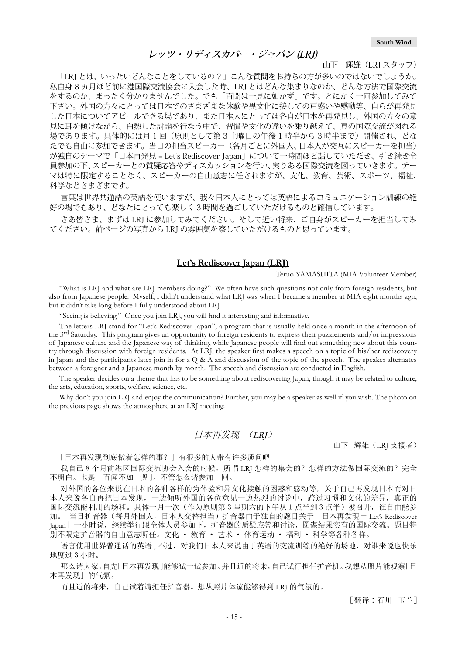## **レッツ・リディスカバー・ジャパン (LRJ)**

山下 輝雄(LRJ スタッフ)

<span id="page-14-0"></span>「LRJ とは、いったいどんなことをしているの?」こんな質問をお持ちの方が多いのではないでしょうか。 私自身 8 ヵ月ほど前に港国際交流協会に入会した時、LRJ とはどんな集まりなのか、どんな方法で国際交流 をするのか、まったく分かりませんでした。でも「百聞は一見に如かず」です。とにかく一回参加してみて 下さい。外国の方々にとっては日本でのさまざまな体験や異文化に接しての戸惑いや感動等、自らが再発見 した日本についてアピールできる場であり、また日本人にとっては各自が日本を再発見し、外国の方々の意 見に耳を傾けながら、白熱した討論を行なう中で、習慣や文化の違いを乗り越えて、真の国際交流が図れる 場であります。具体的には月 1 回(原則として第 3 土曜日の午後 1 時半から 3 時半まで)開催され、どな たでも自由に参加できます。当日の担当スピーカー(各月ごとに外国人、日本人が交互にスピーカーを担当) が独自のテーマで「日本再発見 = Let's Rediscover Japan」について一時間ほど話していただき、引き続き全 員参加の下、スピーカーとの質疑応答やディスカッションを行い、実りある国際交流を図っていきます。テー マは特に限定することなく、スピーカーの自由意志に任されますが、文化、教育、芸術、スポーツ、福祉、 科学などさまざまです。

言葉は世界共通語の英語を使いますが、我々日本人にとっては英語によるコミュニケーション訓練の絶 好の場でもあり、どなたにとっても楽しく 3 時間を過ごしていただけるものと確信しています。

さあ皆さま、まずは LRJ に参加してみてください。そして近い将来、ご自身がスピーカーを担当してみ てください。前ページの写真から LRJ の雰囲気を察していただけるものと思っています。

#### **Let's Rediscover Japan (LRJ)**

Teruo YAMASHITA (MIA Volunteer Member)

"What is LRJ and what are LRJ members doing?" We often have such questions not only from foreign residents, but also from Japanese people. Myself, I didn't understand what LRJ was when I became a member at MIA eight months ago, but it didn't take long before I fully understood about LRJ.

"Seeing is believing." Once you join LRJ, you will find it interesting and informative.

The letters LRJ stand for "Let's Rediscover Japan", a program that is usually held once a month in the afternoon of the 3rd Saturday. This program gives an opportunity to foreign residents to express their puzzlements and/or impressions of Japanese culture and the Japanese way of thinking, while Japanese people will find out something new about this country through discussion with foreign residents. At LRJ, the speaker first makes a speech on a topic of his/her rediscovery in Japan and the participants later join in for a  $Q \& A$  and discussion of the topic of the speech. The speaker alternates between a foreigner and a Japanese month by month. The speech and discussion are conducted in English.

The speaker decides on a theme that has to be something about rediscovering Japan, though it may be related to culture, the arts, education, sports, welfare, science, etc.

Why don't you join LRJ and enjoy the communication? Further, you may be a speaker as well if you wish. The photo on the previous page shows the atmosphere at an LRJ meeting.

#### 日本再发现 (LRJ)

山下 辉雄(LRJ 支援者)

「日本再发现到底做着怎样的事?」有很多的人带有许多质问吧

我自己8个月前港区国际交流协会入会的时候,所谓 LRJ 怎样的集会的?怎样的方法做国际交流的?完全 不明白。也是「百闻不如一见」。不管怎么请参加一回。

对外国的各位来说在日本的各种各样的为体验和异文化接触的困惑和感动等,关于自己再发现日本而对日 本人来说各自再把日本发现,一边倾听外国的各位意见一边热烈的讨论中,跨过习惯和文化的差异,真正的 国际交流能利用的场和。具体一月一次(作为原则第3星期六的下午从1点半到3点半)被召开,谁自由能参 当日扩音器(每月外国人,日本人交替担当)扩音器由于独自的题目关于「日本再发现= Let's Rediscover Japan」一小时说,继续举行跟全体人员参加下,扩音器的质疑应答和讨论,图谋结果实有的国际交流。题目特 别不限定扩音器的自由意志听任。文化 · 教育 · 艺术 · 体育运动 · 福利 · 科学等各种各样。

语言使用世界普通话的英语,不过,对我们日本人来说由于英语的交流训练的绝好的场地,对谁来说也快乐 地度过3小时。

那么请大家,自先「日本再发现」能够试一试参加。并且近的将来,自己试行担任扩音机。我想从照片能观察「日 本再发现」的气氛。

而且近的将来,自己试着请担任扩音器。想从照片体谅能够得到 LRJ 的气氛的。

[翻译∶石川 玉兰]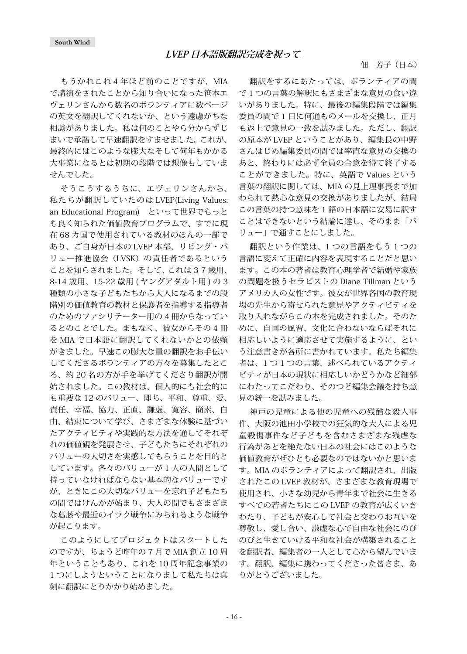<span id="page-15-0"></span>もうかれこれ 4 年ほど前のことですが、MIA で講演をされたことから知り合いになった笹本エ ヴェリンさんから数名のボランティアに数ページ の英文を翻訳してくれないか、という遠慮がちな 相談がありました。私は何のことやら分からずじ まいで承諾して早速翻訳をすませました。これが、 最終的にはこのような膨大なそして何年もかかる 大事業になるとは初期の段階では想像もしていま せんでした。

そうこうするうちに、エヴェリンさんから、 私たちが翻訳していたのは LVEP(Living Values: an Educational Program) といって世界でもっと も良く知られた価値教育プログラムで、すでに現 在 68 カ国で使用されている教材のほんの一部で あり、ご自身が日本の LVEP 本部、リビング・バ リュー推進協会 (LVSK) の責任者であるという ことを知らされました。そして、これは 3-7 歳用、 8-14 歳用、15-22 歳用 ( ヤングアダルト用 ) の 3 種類の小さな子どもたちから大人になるまでの段 階別の価値教育の教材と保護者を指導する指導者 のためのファシリテーター用の 4 冊からなってい るとのことでした。まもなく、彼女からその 4 冊 を MIA で日本語に翻訳してくれないかとの依頼 がきました。早速この膨大な量の翻訳をお手伝い してくださるボランティアの方々を募集したとこ ろ、約 20 名の方が手を挙げてくださり翻訳が開 始されました。この教材は、個人的にも社会的に も重要な 12 のバリュー、即ち、平和、尊重、愛、 責任、幸福、協力、正直、謙虚、寛容、簡素、自 由、結束について学び、さまざまな体験に基づい たアクティビティや実践的な方法を通してそれぞ れの価値観を発展させ、子どもたちにそれぞれの バリューの大切さを実感してもらうことを目的と しています。各々のバリューが 1 人の人間として 持っていなければならない基本的なバリューです が、ときにこの大切なバリューを忘れ子どもたち の間ではけんかが始まり、大人の間でもさまざま な葛藤や最近のイラク戦争にみられるような戦争 が起こります。

このようにしてプロジェクトはスタートした のですが、ちょうど昨年の 7 月で MIA 創立 10 周 年ということもあり、これを 10 周年記念事業の 1 つにしようということになりまして私たちは真 剣に翻訳にとりかかり始めました。

### 佃 芳子(日本)

翻訳をするにあたっては、ボランティアの間 で 1 つの言葉の解釈にもさまざまな意見の食い違 いがありました。特に、最後の編集段階では編集 委員の間で 1 日に何通ものメールを交換し、正月 も返上で意見の一致を試みました。ただし、翻訳 の原本が LVEP ということがあり、編集長の中野 さんはじめ編集委員の間では率直な意見の交換の あと、終わりには必ず全員の合意を得て終了する ことができました。特に、英語で Values という 言葉の翻訳に関しては、MIA の見上理事長まで加 わられて熱心な意見の交換がありましたが、結局 この言葉の持つ意味を 1 語の日本語に安易に訳す ことはできないという結論に達し、そのまま「バ リュー」で通すことにしました。

翻訳という作業は、1 つの言語をもう 1 つの 言語に変えて正確に内容を表現することだと思い ます。この本の著者は教育心理学者で結婚や家族 の問題を扱うセラピストの Diane Tillman という アメリカ人の女性です。彼女が世界各国の教育現 場の先生から寄せられた意見やアクティビティを 取り入れながらこの本を完成されました。そのた めに、自国の風習、文化に合わないならばそれに 相応しいように適応させて実施するように、とい う注意書きが各所に書かれています。私たち編集 者は、1 つ 1 つの言葉、述べられているアクティ ビティが日本の現状に相応しいかどうかなど細部 にわたってこだわり、そのつど編集会議を持ち意 見の統一を試みました。

神戸の児童による他の児童への残酷な殺人事 件、大阪の池田小学校での狂気的な大人による児 童殺傷事件など子どもを含むさまざまな残虐な 行為があとを絶たない日本の社会にはこのような 価値教育がぜひとも必要なのではないかと思いま す。MIA のボランティアによって翻訳され、出版 されたこの LVEP 教材が、さまざまな教育現場で 使用され、小さな幼児から青年まで社会に生きる すべての若者たちにこの LVEP の教育が広くいき わたり、子どもが安心して社会と交わりお互いを 尊敬し、愛し合い、謙虚な心で自由な社会にのび のびと生きていける平和な社会が構築されること を翻訳者、編集者の一人として心から望んでいま す。翻訳、編集に携わってくださった皆さま、あ りがとうございました。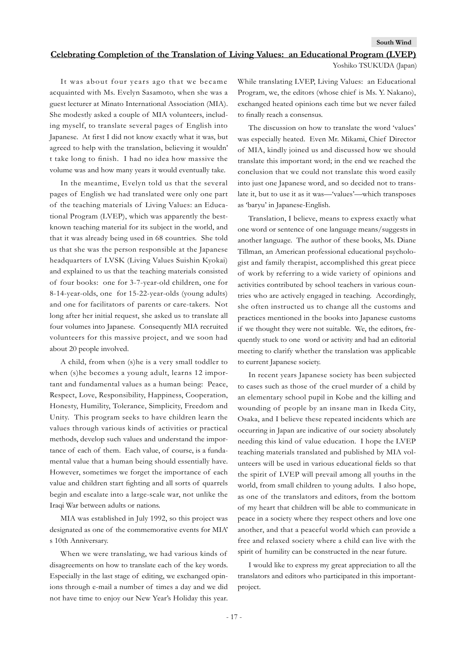#### <span id="page-16-0"></span>**Celebrating Completion of the Translation of Living Values: an Educational Program (LVEP)**

Yoshiko TSUKUDA (Japan)

It was about four years ago that we became acquainted with Ms. Evelyn Sasamoto, when she was a guest lecturer at Minato International Association (MIA). She modestly asked a couple of MIA volunteers, including myself, to translate several pages of English into Japanese. At first I did not know exactly what it was, but agreed to help with the translation, believing it wouldn' t take long to finish. I had no idea how massive the volume was and how many years it would eventually take.

In the meantime, Evelyn told us that the several pages of English we had translated were only one part of the teaching materials of Living Values: an Educational Program (LVEP), which was apparently the bestknown teaching material for its subject in the world, and that it was already being used in 68 countries. She told us that she was the person responsible at the Japanese headquarters of LVSK (Living Values Suishin Kyokai) and explained to us that the teaching materials consisted of four books: one for 3-7-year-old children, one for 8-14-year-olds, one for 15-22-year-olds (young adults) and one for facilitators of parents or care-takers. Not long after her initial request, she asked us to translate all four volumes into Japanese. Consequently MIA recruited volunteers for this massive project, and we soon had about 20 people involved.

A child, from when (s)he is a very small toddler to when (s)he becomes a young adult, learns 12 important and fundamental values as a human being: Peace, Respect, Love, Responsibility, Happiness, Cooperation, Honesty, Humility, Tolerance, Simplicity, Freedom and Unity. This program seeks to have children learn the values through various kinds of activities or practical methods, develop such values and understand the importance of each of them. Each value, of course, is a fundamental value that a human being should essentially have. However, sometimes we forget the importance of each value and children start fighting and all sorts of quarrels begin and escalate into a large-scale war, not unlike the Iraqi War between adults or nations.

MIA was established in July 1992, so this project was designated as one of the commemorative events for MIA' s 10th Anniversary.

When we were translating, we had various kinds of disagreements on how to translate each of the key words. Especially in the last stage of editing, we exchanged opinions through e-mail a number of times a day and we did not have time to enjoy our New Year's Holiday this year.

While translating LVEP, Living Values: an Educational Program, we, the editors (whose chief is Ms. Y. Nakano), exchanged heated opinions each time but we never failed to finally reach a consensus.

The discussion on how to translate the word 'values' was especially heated. Even Mr. Mikami, Chief Director of MIA, kindly joined us and discussed how we should translate this important word; in the end we reached the conclusion that we could not translate this word easily into just one Japanese word, and so decided not to translate it, but to use it as it was—'values'—which transposes as 'baryu' in Japanese-English.

Translation, I believe, means to express exactly what one word or sentence of one language means/suggests in another language. The author of these books, Ms. Diane Tillman, an American professional educational psychologist and family therapist, accomplished this great piece of work by referring to a wide variety of opinions and activities contributed by school teachers in various countries who are actively engaged in teaching. Accordingly, she often instructed us to change all the customs and practices mentioned in the books into Japanese customs if we thought they were not suitable. We, the editors, frequently stuck to one word or activity and had an editorial meeting to clarify whether the translation was applicable to current Japanese society.

In recent years Japanese society has been subjected to cases such as those of the cruel murder of a child by an elementary school pupil in Kobe and the killing and wounding of people by an insane man in Ikeda City, Osaka, and I believe these repeated incidents which are occurring in Japan are indicative of our society absolutely needing this kind of value education. I hope the LVEP teaching materials translated and published by MIA volunteers will be used in various educational fields so that the spirit of LVEP will prevail among all youths in the world, from small children to young adults. I also hope, as one of the translators and editors, from the bottom of my heart that children will be able to communicate in peace in a society where they respect others and love one another, and that a peaceful world which can provide a free and relaxed society where a child can live with the spirit of humility can be constructed in the near future.

I would like to express my great appreciation to all the translators and editors who participated in this importantproject.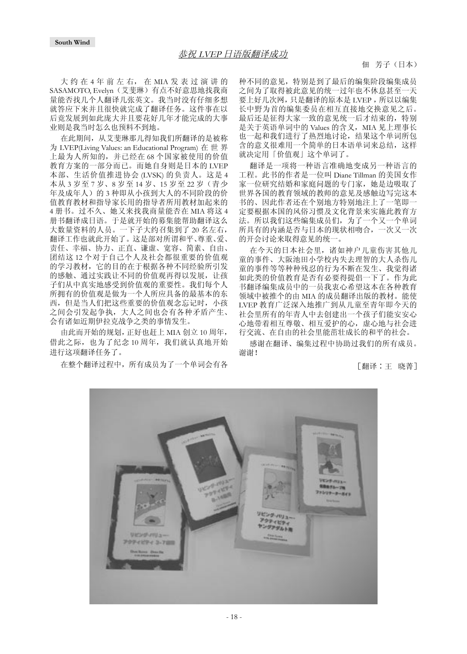<span id="page-17-0"></span>大 约 在 4 年 前 左 右, 在 MIA 发 表 过 演 讲 的 SASAMOTO, Evelyn(艾斐琳)有点不好意思地找我商 量能否找几个人翻译几张英文。我当时没有仔细多想 就答应下来并且很快就完成了翻译任务。这件事在以 后竟发展到如此庞大并且要花好几年才能完成的大事 业则是我当时怎么也预料不到地。

在此期间,从艾斐琳那儿得知我们所翻译的是被称 为 LVEP(Living Values: an Educational Program) 在 世 界 上最为人所知的,并已经在 68 个国家被使用的价值 教育方案的一部分而已。而她自身则是日本的 LVEP 本部、生活价值推进协会 (LVSK) 的负责人。这是 4 本从 3 岁至 7 岁、8 岁至 14 岁、15 岁至 22 岁(青少 年及成年人)的 3 种即从小孩到大人的不同阶段的价 值教育教材和指导家长用的指导者所用教材加起来的 4 册书。过不久、她又来找我商量能否在 MIA 将这 4 册书翻译成日语。于是就开始的募集能帮助翻译这么 大数量资料的人员。一下子大约召集到了 20 名左右, 翻译工作也就此开始了。这是部对所谓和平、尊重、爱、 责任、幸福、协力、正直、谦虚、宽容、简素、自由、 团结这 12 个对于自己个人及社会都很重要的价值观 的学习教材,它的目的在于根据各种不同经验所引发 的感触、通过实践让不同的价值观再得以发展,让孩 子们从中真实地感受到价值观的重要性。我们每个人 所拥有的价值观是做为一个人所应具备的最基本的东 西,但是当人们把这些重要的价值观念忘记时,小孩 之间会引发起争执,大人之间也会有各种矛盾产生、 会有诸如近期伊拉克战争之类的事情发生。

由此而开始的规划,正好也赶上 MIA 创立 10 周年, 借此之际,也为了纪念 10 周年,我们就认真地开始 进行这项翻译任务了。

在整个翻译过程中,所有成员为了一个单词会有各

种不同的意见,特别是到了最后的编集阶段编集成员 之间为了取得被此意见的统一过年也不休息甚至一天 要上好几次网,只是翻译的原本是 LVEP ,所以以编集 长中野为首的编集委员在相互直接地交换意见之后。 最后还是征得大家一致的意见统一后才结束的,特别 是关于英语单词中的 Values 的含义, MIA 见上理事长 也一起和我们进行了热烈地讨论,结果这个单词所包 含的意义很难用一个简单的日本语单词来总结,这样 就决定用「价值观」这个单词了。

翻译是一项将一种语言准确地变成另一种语言的 工程。此书的作者是一位叫 Diane Tillman 的美国女作 家一位研究结婚和家庭问题的专门家,她是边吸取了 世界各国的教育领域的教师的意见及感触边写完这本 书的、因此作者还在个别地方特别地注上了一笔即一 定要根据本国的风俗习惯及文化背景来实施此教育方 法。所以我们这些编集成员们,为了一个又一个单词 所具有的内涵是否与日本的现状相吻合,一次又一次 的开会讨论来取得意见的统一。

在今天的日本社会里,诸如神户儿童伤害其他儿 童的事件、大阪池田小学校内失去理智的大人杀伤儿 童的事件等等种种残忍的行为不断在发生、我觉得诸 如此类的价值教育是否有必要得提倡一下了。作为此 书翻译编集成员中的一员我衷心希望这本在各种教育 领域中被推个的由 MIA 的成员翻译出版的教材。能使 LVEP 教育广泛深入地推广到从儿童至青年即今天的 社会里所有的年青人中去创建出一个孩子们能安安心 心地带着相互尊敬、相互爱护的心,虚心地与社会进 行交流、在自由的社会里能茁壮成长的和平的社会。

感谢在翻译、编集过程中协助过我们的所有成员。 谢谢!

[翻译∶王 晓菁]

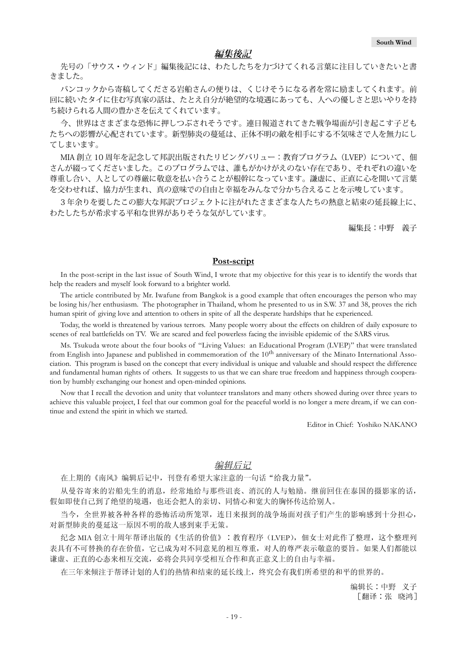#### **編集後記**

<span id="page-18-0"></span>先号の「サウス・ウィンド」編集後記には、わたしたちを力づけてくれる言葉に注目していきたいと書 きました。

バンコックから寄稿してくださる岩船さんの便りは、くじけそうになる者を常に励ましてくれます。前 回に続いたタイに住む写真家の話は、たとえ自分が絶望的な境遇にあっても、人への優しさと思いやりを持 ち続けられる人間の豊かさを伝えてくれています。

今、世界はさまざまな恐怖に押しつぶされそうです。連日報道されてきた戦争場面が引き起こす子ども たちへの影響が心配されています。新型肺炎の蔓延は、正体不明の敵を相手にする不気味さで人を無力にし てしまいます。

MIA 創立 10 周年を記念して邦訳出版されたリビングバリュー:教育プログラム (LVEP) について、佃 さんが綴ってくださいました。このプログラムでは、誰もがかけがえのない存在であり、それぞれの違いを 尊重し合い、人としての尊厳に敬意を払い合うことが根幹になっています。謙虚に、正直に心を開いて言葉 を交わせれば、協力が生まれ、真の意味での自由と幸福をみんなで分かち合えることを示唆しています。

3 年余りを要したこの膨大な邦訳プロジェクトに注がれたさまざまな人たちの熱意と結束の延長線上に、 わたしたちが希求する平和な世界がありそうな気がしています。

編集長:中野 義子

### **Post-script**

In the post-script in the last issue of South Wind, I wrote that my objective for this year is to identify the words that help the readers and myself look forward to a brighter world.

The article contributed by Mr. Iwafune from Bangkok is a good example that often encourages the person who may be losing his/her enthusiasm. The photographer in Thailand, whom he presented to us in S.W. 37 and 38, proves the rich human spirit of giving love and attention to others in spite of all the desperate hardships that he experienced.

Today, the world is threatened by various terrors. Many people worry about the effects on children of daily exposure to scenes of real battlefields on TV. We are scared and feel powerless facing the invisible epidemic of the SARS virus.

Ms. Tsukuda wrote about the four books of "Living Values: an Educational Program (LVEP)" that were translated from English into Japanese and published in commemoration of the 10<sup>th</sup> anniversary of the Minato International Association. This program is based on the concept that every individual is unique and valuable and should respect the difference and fundamental human rights of others. It suggests to us that we can share true freedom and happiness through cooperation by humbly exchanging our honest and open-minded opinions.

Now that I recall the devotion and unity that volunteer translators and many others showed during over three years to achieve this valuable project, I feel that our common goal for the peaceful world is no longer a mere dream, if we can continue and extend the spirit in which we started.

Editor in Chief: Yoshiko NAKANO

### 编辑后记

在上期的《南风》编辑后记中,刊登有希望大家注意的一句话"给我力量"。

从曼谷寄来的岩船先生的消息,经常地给与那些诅丧、消沉的人与勉励。继前回住在泰国的摄影家的话, 假如即使自己到了绝望的境遇,也还会把人的亲切、同情心和宽大的胸怀传达给别人。

当今,全世界被各种各样的恐怖活动所笼罩,连日来报到的战争场面对孩子们产生的影响感到十分担心, 对新型肺炎的蔓延这一原因不明的敌人感到束手无策。

纪念 MIA 创立十周年帮译出版的《生活的价值》:教育程序(LVEP), 佃女士对此作了整理, 这个整理列 表具有不可替换的存在价值,它已成为对不同意见的相互尊重,对人的尊严表示敬意的要旨。如果人们都能以 谦虚、正直的心态来相互交流,必将会共同享受相互合作和真正意义上的自由与幸福。

在三年来倾注于帮译计划的人们的热情和结束的延长线上,终究会有我们所希望的和平的世界的。

编辑长∶中野 义子 [翻译∶张 晓鸿]